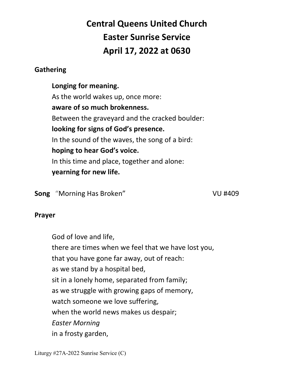# **Central Queens United Church Easter Sunrise Service April 17, 2022 at 0630**

### **Gathering**

 **Longing for meaning.**  As the world wakes up, once more:  **aware of so much brokenness.**  Between the graveyard and the cracked boulder:  **looking for signs of God's presence.**  In the sound of the waves, the song of a bird:  **hoping to hear God's voice.**  In this time and place, together and alone:  **yearning for new life.** 

**Song** "Morning Has Broken" VU #409

#### **Prayer**

 God of love and life, there are times when we feel that we have lost you, that you have gone far away, out of reach: as we stand by a hospital bed, sit in a lonely home, separated from family; as we struggle with growing gaps of memory, watch someone we love suffering, when the world news makes us despair;  *Easter Morning*  in a frosty garden,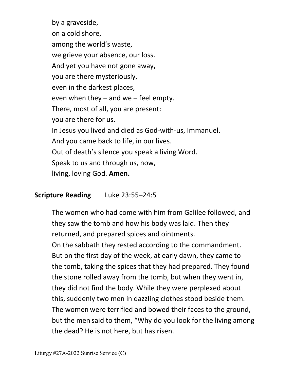by a graveside, on a cold shore, among the world's waste, we grieve your absence, our loss. And yet you have not gone away, you are there mysteriously, even in the darkest places, even when they – and we – feel empty. There, most of all, you are present: you are there for us. In Jesus you lived and died as God-with-us, Immanuel. And you came back to life, in our lives. Out of death's silence you speak a living Word. Speak to us and through us, now, living, loving God. **Amen.** 

### **Scripture Reading** Luke 23:55–24:5

The women who had come with him from Galilee followed, and they saw the tomb and how his body was laid. Then they returned, and prepared spices and ointments. On the sabbath they rested according to the commandment. But on the first day of the week, at early dawn, they came to the tomb, taking the spices that they had prepared. They found the stone rolled away from the tomb, but when they went in, they did not find the body. While they were perplexed about this, suddenly two men in dazzling clothes stood beside them. The women were terrified and bowed their faces to the ground, but the men said to them, "Why do you look for the living among the dead? He is not here, but has risen.